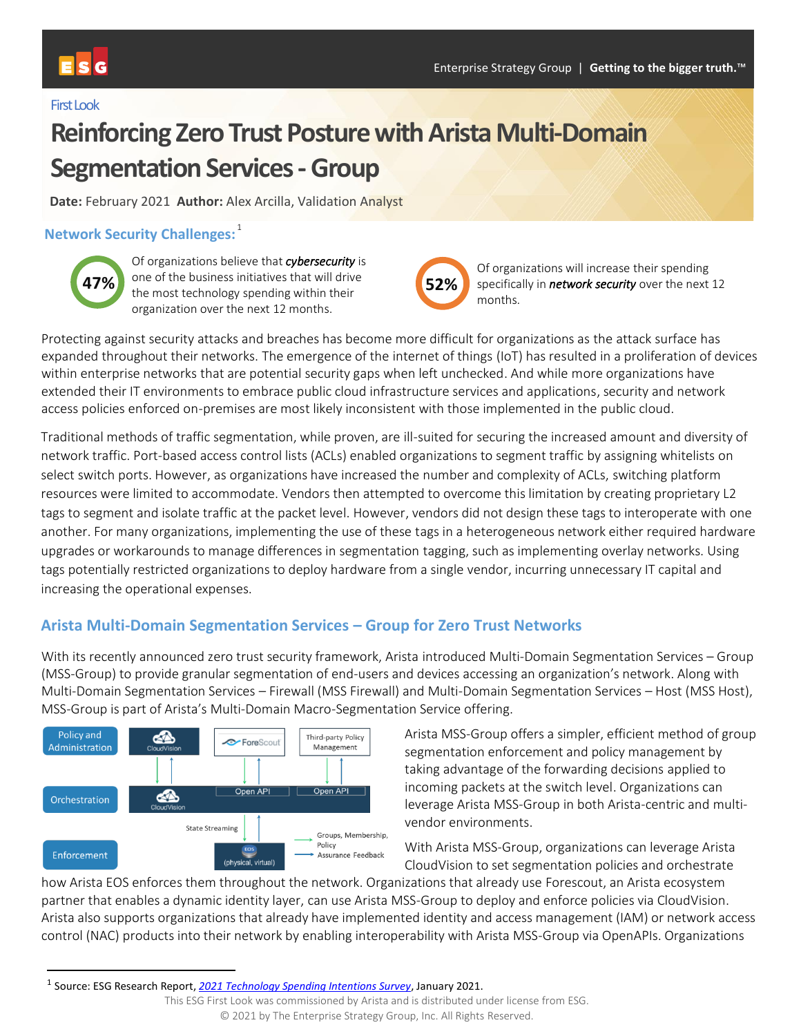#### First Look

# **Reinforcing Zero Trust Posture with Arista Multi-Domain Segmentation Services - Group**

**Date:** February 2021 **Author:** Alex Arcilla, Validation Analyst

## **Network Security Challenges:** 1



Of organizations believe that *cybersecurity* is one of the business initiatives that will drive the most technology spending within their organization over the next 12 months.



Of organizations will increase their spending specifically in *network security* over the next 12 months.

Protecting against security attacks and breaches has become more difficult for organizations as the attack surface has expanded throughout their networks. The emergence of the internet of things (IoT) has resulted in a proliferation of devices within enterprise networks that are potential security gaps when left unchecked. And while more organizations have extended their IT environments to embrace public cloud infrastructure services and applications, security and network access policies enforced on-premises are most likely inconsistent with those implemented in the public cloud.

Traditional methods of traffic segmentation, while proven, are ill-suited for securing the increased amount and diversity of network traffic. Port-based access control lists (ACLs) enabled organizations to segment traffic by assigning whitelists on select switch ports. However, as organizations have increased the number and complexity of ACLs, switching platform resources were limited to accommodate. Vendors then attempted to overcome this limitation by creating proprietary L2 tags to segment and isolate traffic at the packet level. However, vendors did not design these tags to interoperate with one another. For many organizations, implementing the use of these tags in a heterogeneous network either required hardware upgrades or workarounds to manage differences in segmentation tagging, such as implementing overlay networks. Using tags potentially restricted organizations to deploy hardware from a single vendor, incurring unnecessary IT capital and increasing the operational expenses.

## **Arista Multi-Domain Segmentation Services – Group for Zero Trust Networks**

With its recently announced zero trust security framework, Arista introduced Multi-Domain Segmentation Services – Group (MSS-Group) to provide granular segmentation of end-users and devices accessing an organization's network. Along with Multi-Domain Segmentation Services – Firewall (MSS Firewall) and Multi-Domain Segmentation Services – Host (MSS Host), MSS-Group is part of Arista's Multi-Domain Macro-Segmentation Service offering.



Arista MSS-Group offers a simpler, efficient method of group segmentation enforcement and policy management by taking advantage of the forwarding decisions applied to incoming packets at the switch level. Organizations can leverage Arista MSS-Group in both Arista-centric and multivendor environments.

With Arista MSS-Group, organizations can leverage Arista CloudVision to set segmentation policies and orchestrate

how Arista EOS enforces them throughout the network. Organizations that already use Forescout, an Arista ecosystem partner that enables a dynamic identity layer, can use Arista MSS-Group to deploy and enforce policies via CloudVision. Arista also supports organizations that already have implemented identity and access management (IAM) or network access control (NAC) products into their network by enabling interoperability with Arista MSS-Group via OpenAPIs. Organizations

<sup>1</sup> Source: ESG Research Report, *[2021 Technology Spending Intentions Survey](https://research.esg-global.com/reportaction/2021techspendingintentionsreport/Toc)*, January 2021.

This ESG First Look was commissioned by Arista and is distributed under license from ESG.

<sup>© 2021</sup> by The Enterprise Strategy Group, Inc. All Rights Reserved.